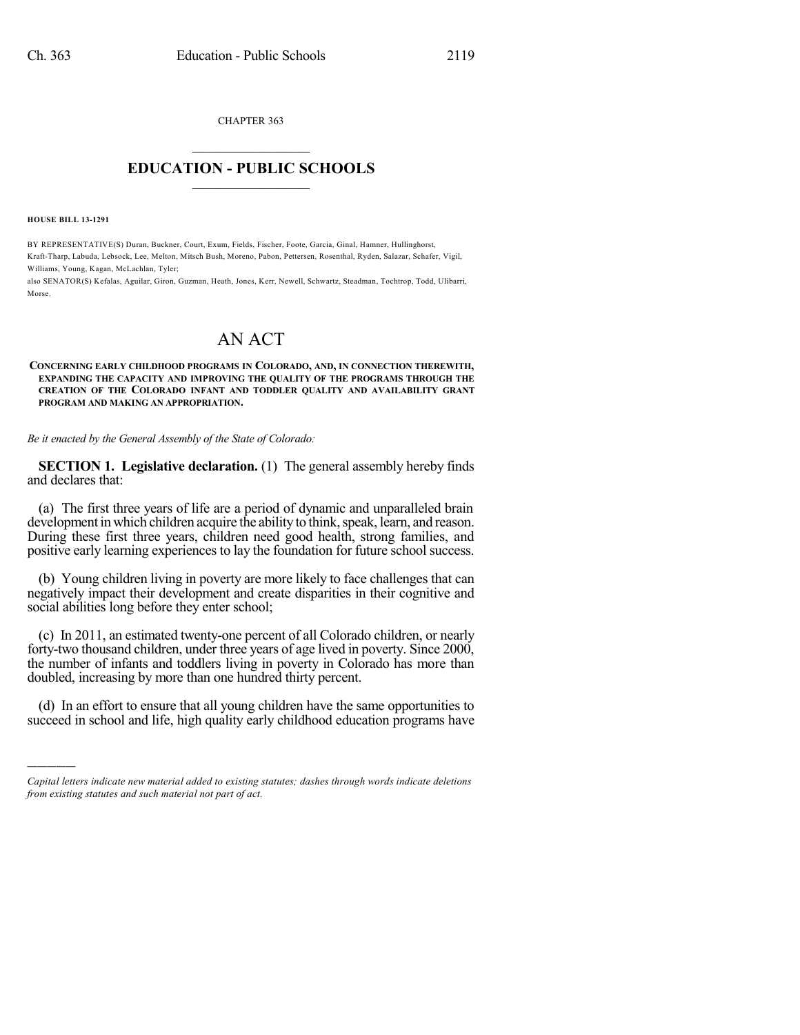CHAPTER 363

## $\mathcal{L}_\text{max}$  . The set of the set of the set of the set of the set of the set of the set of the set of the set of the set of the set of the set of the set of the set of the set of the set of the set of the set of the set **EDUCATION - PUBLIC SCHOOLS**  $\_$   $\_$   $\_$   $\_$   $\_$   $\_$   $\_$   $\_$   $\_$

**HOUSE BILL 13-1291**

)))))

BY REPRESENTATIVE(S) Duran, Buckner, Court, Exum, Fields, Fischer, Foote, Garcia, Ginal, Hamner, Hullinghorst, Kraft-Tharp, Labuda, Lebsock, Lee, Melton, Mitsch Bush, Moreno, Pabon, Pettersen, Rosenthal, Ryden, Salazar, Schafer, Vigil, Williams, Young, Kagan, McLachlan, Tyler;

also SENATOR(S) Kefalas, Aguilar, Giron, Guzman, Heath, Jones, Kerr, Newell, Schwartz, Steadman, Tochtrop, Todd, Ulibarri, Morse.

## AN ACT

**CONCERNING EARLY CHILDHOOD PROGRAMS IN COLORADO, AND, IN CONNECTION THEREWITH, EXPANDING THE CAPACITY AND IMPROVING THE QUALITY OF THE PROGRAMS THROUGH THE CREATION OF THE COLORADO INFANT AND TODDLER QUALITY AND AVAILABILITY GRANT PROGRAM AND MAKING AN APPROPRIATION.**

*Be it enacted by the General Assembly of the State of Colorado:*

**SECTION 1. Legislative declaration.** (1) The general assembly hereby finds and declares that:

(a) The first three years of life are a period of dynamic and unparalleled brain development in which children acquire the ability to think, speak, learn, and reason. During these first three years, children need good health, strong families, and positive early learning experiences to lay the foundation for future school success.

(b) Young children living in poverty are more likely to face challenges that can negatively impact their development and create disparities in their cognitive and social abilities long before they enter school;

(c) In 2011, an estimated twenty-one percent of all Colorado children, or nearly forty-two thousand children, under three years of age lived in poverty. Since 2000, the number of infants and toddlers living in poverty in Colorado has more than doubled, increasing by more than one hundred thirty percent.

(d) In an effort to ensure that all young children have the same opportunities to succeed in school and life, high quality early childhood education programs have

*Capital letters indicate new material added to existing statutes; dashes through words indicate deletions from existing statutes and such material not part of act.*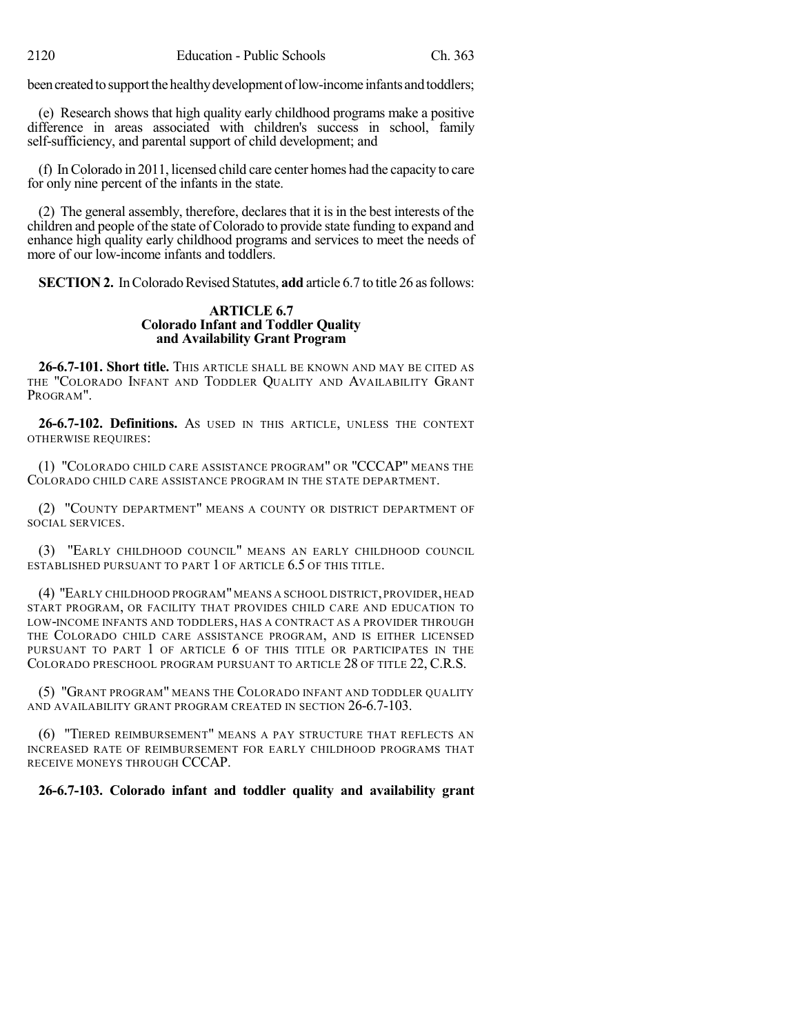been created to support the healthy development of low-income infants and toddlers;

(e) Research shows that high quality early childhood programs make a positive difference in areas associated with children's success in school, family self-sufficiency, and parental support of child development; and

(f) InColorado in 2011, licensed child care center homes had the capacity to care for only nine percent of the infants in the state.

(2) The general assembly, therefore, declares that it is in the best interests of the children and people of the state of Colorado to provide state funding to expand and enhance high quality early childhood programs and services to meet the needs of more of our low-income infants and toddlers.

**SECTION 2.** In Colorado Revised Statutes, **add** article 6.7 to title 26 as follows:

## **ARTICLE 6.7 Colorado Infant and Toddler Quality and Availability Grant Program**

**26-6.7-101. Short title.** THIS ARTICLE SHALL BE KNOWN AND MAY BE CITED AS THE "COLORADO INFANT AND TODDLER QUALITY AND AVAILABILITY GRANT PROGRAM".

**26-6.7-102. Definitions.** AS USED IN THIS ARTICLE, UNLESS THE CONTEXT OTHERWISE REQUIRES:

(1) "COLORADO CHILD CARE ASSISTANCE PROGRAM" OR "CCCAP" MEANS THE COLORADO CHILD CARE ASSISTANCE PROGRAM IN THE STATE DEPARTMENT.

(2) "COUNTY DEPARTMENT" MEANS A COUNTY OR DISTRICT DEPARTMENT OF SOCIAL SERVICES.

(3) "EARLY CHILDHOOD COUNCIL" MEANS AN EARLY CHILDHOOD COUNCIL ESTABLISHED PURSUANT TO PART 1 OF ARTICLE 6.5 OF THIS TITLE.

(4) "EARLY CHILDHOOD PROGRAM"MEANS A SCHOOL DISTRICT, PROVIDER, HEAD START PROGRAM, OR FACILITY THAT PROVIDES CHILD CARE AND EDUCATION TO LOW-INCOME INFANTS AND TODDLERS, HAS A CONTRACT AS A PROVIDER THROUGH THE COLORADO CHILD CARE ASSISTANCE PROGRAM, AND IS EITHER LICENSED PURSUANT TO PART 1 OF ARTICLE 6 OF THIS TITLE OR PARTICIPATES IN THE COLORADO PRESCHOOL PROGRAM PURSUANT TO ARTICLE 28 OF TITLE 22, C.R.S.

(5) "GRANT PROGRAM" MEANS THE COLORADO INFANT AND TODDLER QUALITY AND AVAILABILITY GRANT PROGRAM CREATED IN SECTION 26-6.7-103.

(6) "TIERED REIMBURSEMENT" MEANS A PAY STRUCTURE THAT REFLECTS AN INCREASED RATE OF REIMBURSEMENT FOR EARLY CHILDHOOD PROGRAMS THAT RECEIVE MONEYS THROUGH CCCAP.

## **26-6.7-103. Colorado infant and toddler quality and availability grant**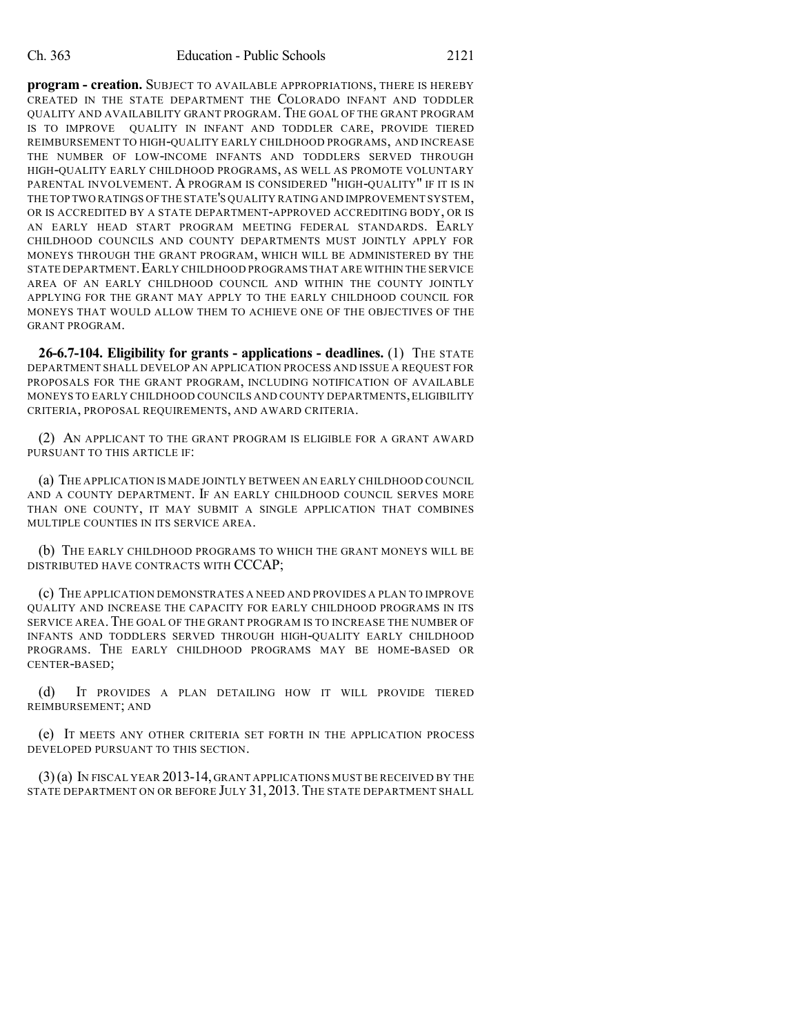**program - creation.** SUBJECT TO AVAILABLE APPROPRIATIONS, THERE IS HEREBY CREATED IN THE STATE DEPARTMENT THE COLORADO INFANT AND TODDLER QUALITY AND AVAILABILITY GRANT PROGRAM.THE GOAL OF THE GRANT PROGRAM IS TO IMPROVE QUALITY IN INFANT AND TODDLER CARE, PROVIDE TIERED REIMBURSEMENT TO HIGH-QUALITY EARLY CHILDHOOD PROGRAMS, AND INCREASE THE NUMBER OF LOW-INCOME INFANTS AND TODDLERS SERVED THROUGH HIGH-QUALITY EARLY CHILDHOOD PROGRAMS, AS WELL AS PROMOTE VOLUNTARY PARENTAL INVOLVEMENT. A PROGRAM IS CONSIDERED "HIGH-QUALITY" IF IT IS IN THE TOP TWO RATINGS OF THE STATE'S QUALITY RATING AND IMPROVEMENT SYSTEM, OR IS ACCREDITED BY A STATE DEPARTMENT-APPROVED ACCREDITING BODY, OR IS AN EARLY HEAD START PROGRAM MEETING FEDERAL STANDARDS. EARLY CHILDHOOD COUNCILS AND COUNTY DEPARTMENTS MUST JOINTLY APPLY FOR MONEYS THROUGH THE GRANT PROGRAM, WHICH WILL BE ADMINISTERED BY THE STATE DEPARTMENT.EARLY CHILDHOOD PROGRAMS THAT ARE WITHIN THE SERVICE AREA OF AN EARLY CHILDHOOD COUNCIL AND WITHIN THE COUNTY JOINTLY APPLYING FOR THE GRANT MAY APPLY TO THE EARLY CHILDHOOD COUNCIL FOR MONEYS THAT WOULD ALLOW THEM TO ACHIEVE ONE OF THE OBJECTIVES OF THE GRANT PROGRAM.

**26-6.7-104. Eligibility for grants - applications - deadlines.** (1) THE STATE DEPARTMENT SHALL DEVELOP AN APPLICATION PROCESS AND ISSUE A REQUEST FOR PROPOSALS FOR THE GRANT PROGRAM, INCLUDING NOTIFICATION OF AVAILABLE MONEYS TO EARLY CHILDHOOD COUNCILS AND COUNTY DEPARTMENTS,ELIGIBILITY CRITERIA, PROPOSAL REQUIREMENTS, AND AWARD CRITERIA.

(2) AN APPLICANT TO THE GRANT PROGRAM IS ELIGIBLE FOR A GRANT AWARD PURSUANT TO THIS ARTICLE IF:

(a) THE APPLICATION IS MADE JOINTLY BETWEEN AN EARLY CHILDHOOD COUNCIL AND A COUNTY DEPARTMENT. IF AN EARLY CHILDHOOD COUNCIL SERVES MORE THAN ONE COUNTY, IT MAY SUBMIT A SINGLE APPLICATION THAT COMBINES MULTIPLE COUNTIES IN ITS SERVICE AREA.

(b) THE EARLY CHILDHOOD PROGRAMS TO WHICH THE GRANT MONEYS WILL BE DISTRIBUTED HAVE CONTRACTS WITH CCCAP;

(c) THE APPLICATION DEMONSTRATES A NEED AND PROVIDES A PLAN TO IMPROVE QUALITY AND INCREASE THE CAPACITY FOR EARLY CHILDHOOD PROGRAMS IN ITS SERVICE AREA.THE GOAL OF THE GRANT PROGRAM IS TO INCREASE THE NUMBER OF INFANTS AND TODDLERS SERVED THROUGH HIGH-QUALITY EARLY CHILDHOOD PROGRAMS. THE EARLY CHILDHOOD PROGRAMS MAY BE HOME-BASED OR CENTER-BASED;

(d) IT PROVIDES A PLAN DETAILING HOW IT WILL PROVIDE TIERED REIMBURSEMENT; AND

(e) IT MEETS ANY OTHER CRITERIA SET FORTH IN THE APPLICATION PROCESS DEVELOPED PURSUANT TO THIS SECTION.

(3)(a) IN FISCAL YEAR 2013-14, GRANT APPLICATIONS MUST BE RECEIVED BY THE STATE DEPARTMENT ON OR BEFORE JULY 31, 2013. THE STATE DEPARTMENT SHALL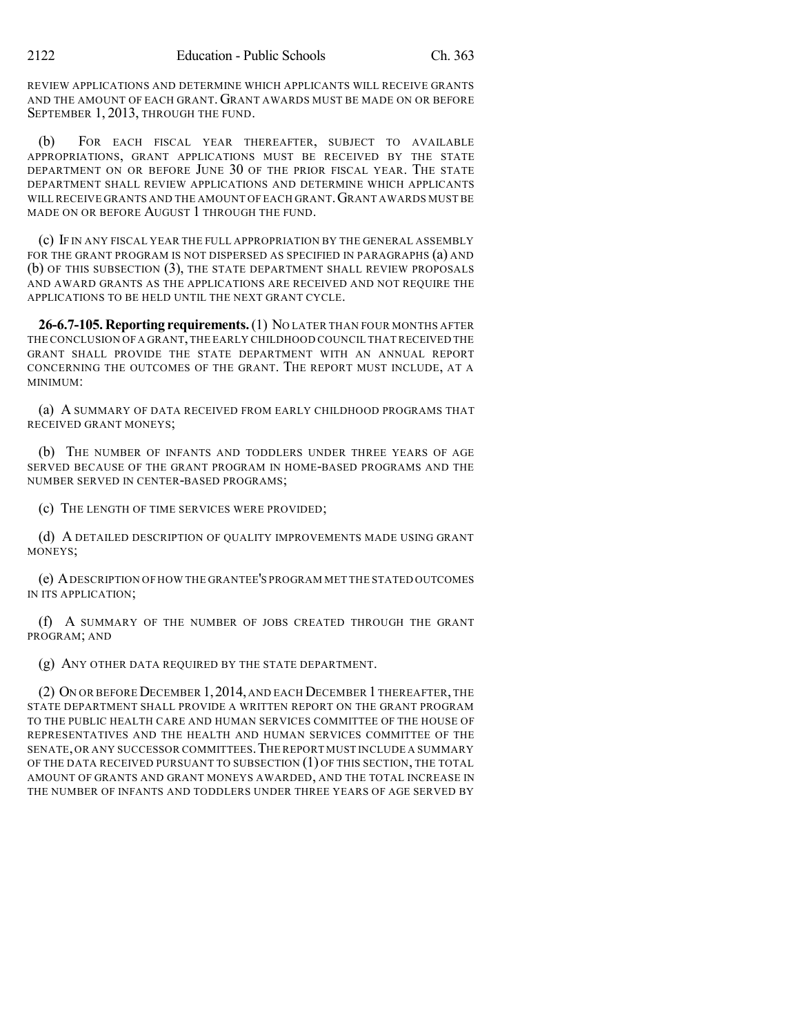REVIEW APPLICATIONS AND DETERMINE WHICH APPLICANTS WILL RECEIVE GRANTS AND THE AMOUNT OF EACH GRANT. GRANT AWARDS MUST BE MADE ON OR BEFORE SEPTEMBER 1, 2013, THROUGH THE FUND.

(b) FOR EACH FISCAL YEAR THEREAFTER, SUBJECT TO AVAILABLE APPROPRIATIONS, GRANT APPLICATIONS MUST BE RECEIVED BY THE STATE DEPARTMENT ON OR BEFORE JUNE 30 OF THE PRIOR FISCAL YEAR. THE STATE DEPARTMENT SHALL REVIEW APPLICATIONS AND DETERMINE WHICH APPLICANTS WILL RECEIVE GRANTS AND THE AMOUNT OF EACH GRANT. GRANT AWARDS MUST BE MADE ON OR BEFORE AUGUST 1 THROUGH THE FUND.

(c) IF IN ANY FISCAL YEAR THE FULL APPROPRIATION BY THE GENERAL ASSEMBLY FOR THE GRANT PROGRAM IS NOT DISPERSED AS SPECIFIED IN PARAGRAPHS (a) AND (b) OF THIS SUBSECTION (3), THE STATE DEPARTMENT SHALL REVIEW PROPOSALS AND AWARD GRANTS AS THE APPLICATIONS ARE RECEIVED AND NOT REQUIRE THE APPLICATIONS TO BE HELD UNTIL THE NEXT GRANT CYCLE.

**26-6.7-105. Reporting requirements.**(1) NO LATER THAN FOUR MONTHS AFTER THE CONCLUSION OF A GRANT, THE EARLY CHILDHOOD COUNCIL THAT RECEIVED THE GRANT SHALL PROVIDE THE STATE DEPARTMENT WITH AN ANNUAL REPORT CONCERNING THE OUTCOMES OF THE GRANT. THE REPORT MUST INCLUDE, AT A MINIMUM:

(a) A SUMMARY OF DATA RECEIVED FROM EARLY CHILDHOOD PROGRAMS THAT RECEIVED GRANT MONEYS;

(b) THE NUMBER OF INFANTS AND TODDLERS UNDER THREE YEARS OF AGE SERVED BECAUSE OF THE GRANT PROGRAM IN HOME-BASED PROGRAMS AND THE NUMBER SERVED IN CENTER-BASED PROGRAMS;

(c) THE LENGTH OF TIME SERVICES WERE PROVIDED;

(d) A DETAILED DESCRIPTION OF QUALITY IMPROVEMENTS MADE USING GRANT MONEYS;

(e) ADESCRIPTION OF HOW THE GRANTEE'S PROGRAM MET THE STATED OUTCOMES IN ITS APPLICATION;

(f) A SUMMARY OF THE NUMBER OF JOBS CREATED THROUGH THE GRANT PROGRAM; AND

(g) ANY OTHER DATA REQUIRED BY THE STATE DEPARTMENT.

(2) ON OR BEFORE DECEMBER 1,2014, AND EACH DECEMBER 1THEREAFTER, THE STATE DEPARTMENT SHALL PROVIDE A WRITTEN REPORT ON THE GRANT PROGRAM TO THE PUBLIC HEALTH CARE AND HUMAN SERVICES COMMITTEE OF THE HOUSE OF REPRESENTATIVES AND THE HEALTH AND HUMAN SERVICES COMMITTEE OF THE SENATE,OR ANY SUCCESSOR COMMITTEES.THE REPORT MUST INCLUDE A SUMMARY OF THE DATA RECEIVED PURSUANT TO SUBSECTION (1) OF THIS SECTION, THE TOTAL AMOUNT OF GRANTS AND GRANT MONEYS AWARDED, AND THE TOTAL INCREASE IN THE NUMBER OF INFANTS AND TODDLERS UNDER THREE YEARS OF AGE SERVED BY